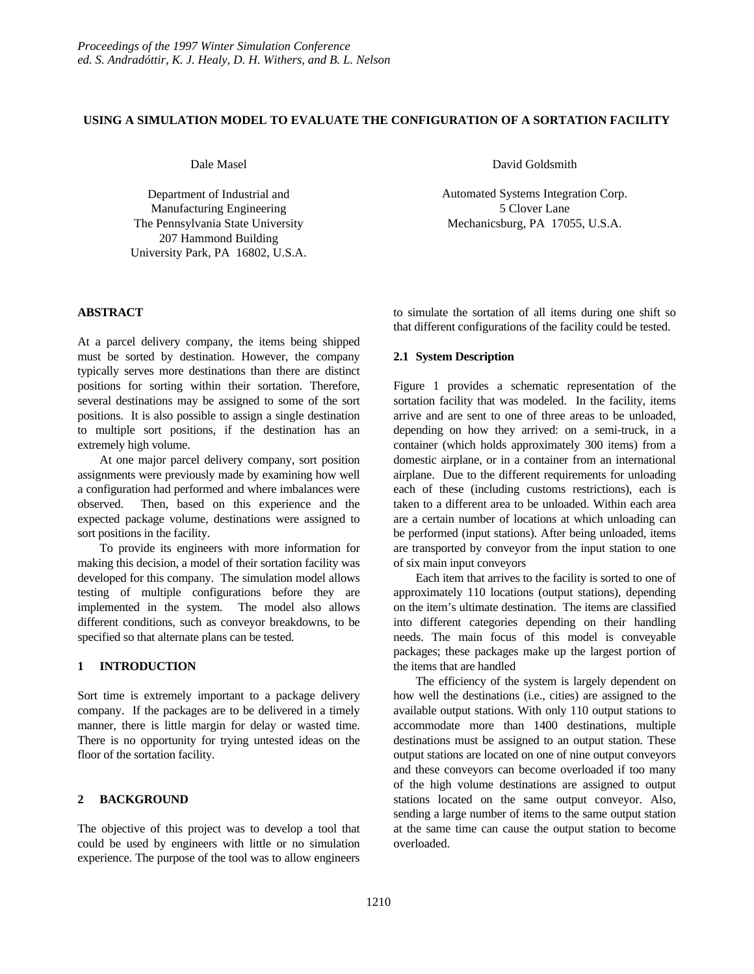### **USING A SIMULATION MODEL TO EVALUATE THE CONFIGURATION OF A SORTATION FACILITY**

Dale Masel

Department of Industrial and Manufacturing Engineering The Pennsylvania State University 207 Hammond Building University Park, PA 16802, U.S.A.

## **ABSTRACT**

At a parcel delivery company, the items being shipped must be sorted by destination. However, the company typically serves more destinations than there are distinct positions for sorting within their sortation. Therefore, several destinations may be assigned to some of the sort positions. It is also possible to assign a single destination to multiple sort positions, if the destination has an extremely high volume.

At one major parcel delivery company, sort position assignments were previously made by examining how well a configuration had performed and where imbalances were observed. Then, based on this experience and the expected package volume, destinations were assigned to sort positions in the facility.

To provide its engineers with more information for making this decision, a model of their sortation facility was developed for this company. The simulation model allows testing of multiple configurations before they are implemented in the system. The model also allows different conditions, such as conveyor breakdowns, to be specified so that alternate plans can be tested.

### **1 INTRODUCTION**

Sort time is extremely important to a package delivery company. If the packages are to be delivered in a timely manner, there is little margin for delay or wasted time. There is no opportunity for trying untested ideas on the floor of the sortation facility.

# **2 BACKGROUND**

The objective of this project was to develop a tool that could be used by engineers with little or no simulation experience. The purpose of the tool was to allow engineers David Goldsmith

Automated Systems Integration Corp. 5 Clover Lane Mechanicsburg, PA 17055, U.S.A.

to simulate the sortation of all items during one shift so that different configurations of the facility could be tested.

#### **2.1 System Description**

Figure 1 provides a schematic representation of the sortation facility that was modeled. In the facility, items arrive and are sent to one of three areas to be unloaded, depending on how they arrived: on a semi-truck, in a container (which holds approximately 300 items) from a domestic airplane, or in a container from an international airplane. Due to the different requirements for unloading each of these (including customs restrictions), each is taken to a different area to be unloaded. Within each area are a certain number of locations at which unloading can be performed (input stations). After being unloaded, items are transported by conveyor from the input station to one of six main input conveyors

Each item that arrives to the facility is sorted to one of approximately 110 locations (output stations), depending on the item's ultimate destination. The items are classified into different categories depending on their handling needs. The main focus of this model is conveyable packages; these packages make up the largest portion of the items that are handled

The efficiency of the system is largely dependent on how well the destinations (i.e., cities) are assigned to the available output stations. With only 110 output stations to accommodate more than 1400 destinations, multiple destinations must be assigned to an output station. These output stations are located on one of nine output conveyors and these conveyors can become overloaded if too many of the high volume destinations are assigned to output stations located on the same output conveyor. Also, sending a large number of items to the same output station at the same time can cause the output station to become overloaded.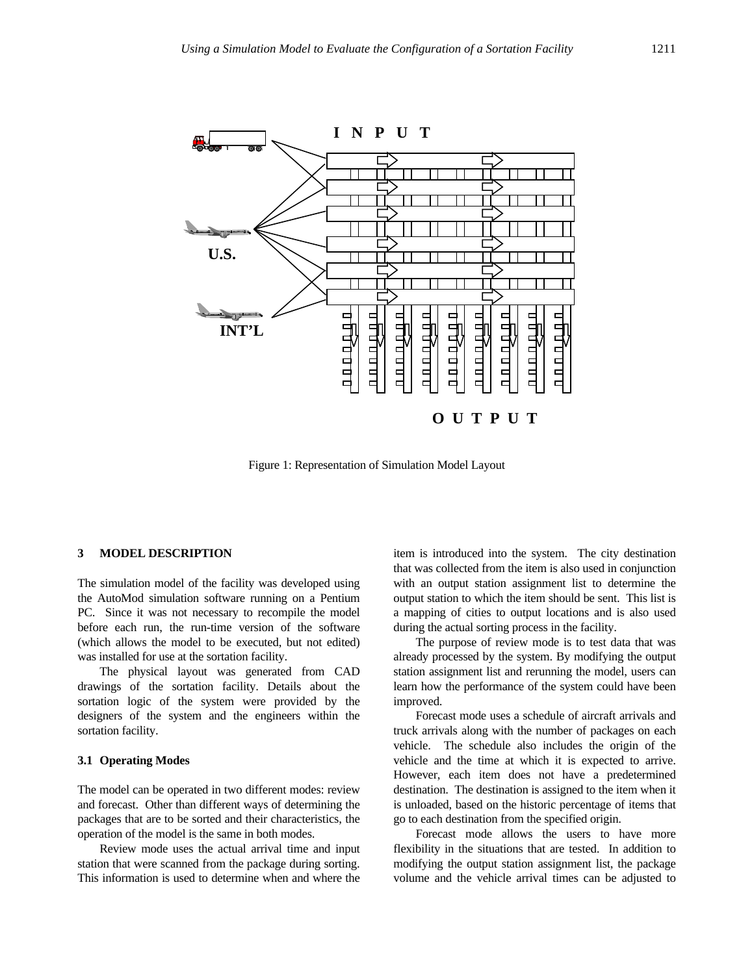

Figure 1: Representation of Simulation Model Layout

### **3 MODEL DESCRIPTION**

The simulation model of the facility was developed using the AutoMod simulation software running on a Pentium PC. Since it was not necessary to recompile the model before each run, the run-time version of the software (which allows the model to be executed, but not edited) was installed for use at the sortation facility.

The physical layout was generated from CAD drawings of the sortation facility. Details about the sortation logic of the system were provided by the designers of the system and the engineers within the sortation facility.

### **3.1 Operating Modes**

The model can be operated in two different modes: review and forecast. Other than different ways of determining the packages that are to be sorted and their characteristics, the operation of the model is the same in both modes.

Review mode uses the actual arrival time and input station that were scanned from the package during sorting. This information is used to determine when and where the item is introduced into the system. The city destination that was collected from the item is also used in conjunction with an output station assignment list to determine the output station to which the item should be sent. This list is a mapping of cities to output locations and is also used during the actual sorting process in the facility.

The purpose of review mode is to test data that was already processed by the system. By modifying the output station assignment list and rerunning the model, users can learn how the performance of the system could have been improved.

Forecast mode uses a schedule of aircraft arrivals and truck arrivals along with the number of packages on each vehicle. The schedule also includes the origin of the vehicle and the time at which it is expected to arrive. However, each item does not have a predetermined destination. The destination is assigned to the item when it is unloaded, based on the historic percentage of items that go to each destination from the specified origin.

Forecast mode allows the users to have more flexibility in the situations that are tested. In addition to modifying the output station assignment list, the package volume and the vehicle arrival times can be adjusted to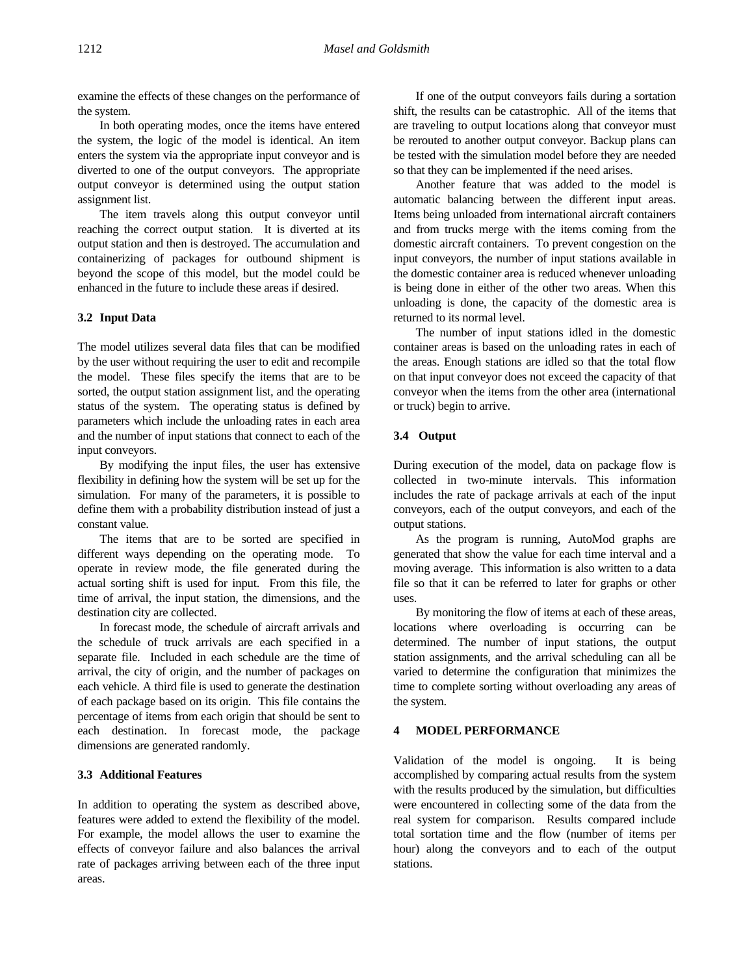examine the effects of these changes on the performance of the system.

In both operating modes, once the items have entered the system, the logic of the model is identical. An item enters the system via the appropriate input conveyor and is diverted to one of the output conveyors. The appropriate output conveyor is determined using the output station assignment list.

The item travels along this output conveyor until reaching the correct output station. It is diverted at its output station and then is destroyed. The accumulation and containerizing of packages for outbound shipment is beyond the scope of this model, but the model could be enhanced in the future to include these areas if desired.

### **3.2 Input Data**

The model utilizes several data files that can be modified by the user without requiring the user to edit and recompile the model. These files specify the items that are to be sorted, the output station assignment list, and the operating status of the system. The operating status is defined by parameters which include the unloading rates in each area and the number of input stations that connect to each of the input conveyors.

By modifying the input files, the user has extensive flexibility in defining how the system will be set up for the simulation. For many of the parameters, it is possible to define them with a probability distribution instead of just a constant value.

The items that are to be sorted are specified in different ways depending on the operating mode. To operate in review mode, the file generated during the actual sorting shift is used for input. From this file, the time of arrival, the input station, the dimensions, and the destination city are collected.

In forecast mode, the schedule of aircraft arrivals and the schedule of truck arrivals are each specified in a separate file. Included in each schedule are the time of arrival, the city of origin, and the number of packages on each vehicle. A third file is used to generate the destination of each package based on its origin. This file contains the percentage of items from each origin that should be sent to each destination. In forecast mode, the package dimensions are generated randomly.

#### **3.3 Additional Features**

In addition to operating the system as described above, features were added to extend the flexibility of the model. For example, the model allows the user to examine the effects of conveyor failure and also balances the arrival rate of packages arriving between each of the three input areas.

If one of the output conveyors fails during a sortation shift, the results can be catastrophic. All of the items that are traveling to output locations along that conveyor must be rerouted to another output conveyor. Backup plans can be tested with the simulation model before they are needed so that they can be implemented if the need arises.

Another feature that was added to the model is automatic balancing between the different input areas. Items being unloaded from international aircraft containers and from trucks merge with the items coming from the domestic aircraft containers. To prevent congestion on the input conveyors, the number of input stations available in the domestic container area is reduced whenever unloading is being done in either of the other two areas. When this unloading is done, the capacity of the domestic area is returned to its normal level.

The number of input stations idled in the domestic container areas is based on the unloading rates in each of the areas. Enough stations are idled so that the total flow on that input conveyor does not exceed the capacity of that conveyor when the items from the other area (international or truck) begin to arrive.

### **3.4 Output**

During execution of the model, data on package flow is collected in two-minute intervals. This information includes the rate of package arrivals at each of the input conveyors, each of the output conveyors, and each of the output stations.

As the program is running, AutoMod graphs are generated that show the value for each time interval and a moving average. This information is also written to a data file so that it can be referred to later for graphs or other uses.

By monitoring the flow of items at each of these areas, locations where overloading is occurring can be determined. The number of input stations, the output station assignments, and the arrival scheduling can all be varied to determine the configuration that minimizes the time to complete sorting without overloading any areas of the system.

## **4 MODEL PERFORMANCE**

Validation of the model is ongoing. It is being accomplished by comparing actual results from the system with the results produced by the simulation, but difficulties were encountered in collecting some of the data from the real system for comparison. Results compared include total sortation time and the flow (number of items per hour) along the conveyors and to each of the output stations.